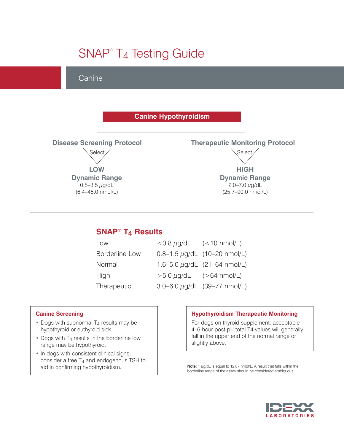# SNAP<sup>®</sup> T<sub>4</sub> Testing Guide

## **Canine**



### **SNAP**® **T4 Results**

| Low                   | $< 0.8 \mu g/dL$ $(< 10 \text{ nmol/L})$ |                                     |
|-----------------------|------------------------------------------|-------------------------------------|
| <b>Borderline Low</b> |                                          | $0.8 - 1.5 \mu g/dL$ (10-20 nmol/L) |
| Normal                |                                          | 1.6-5.0 $\mu$ g/dL (21-64 nmol/L)   |
| <b>High</b>           | $>5.0 \mu q/dL$ ( $>64 \text{ nmol/L}$ ) |                                     |
| Therapeutic           |                                          | 3.0-6.0 µg/dL (39-77 nmol/L)        |

#### **Canine Screening**

- Dogs with subnormal T<sub>4</sub> results may be hypothyroid or euthyroid sick.
- Dogs with T<sub>4</sub> results in the borderline low range may be hypothyroid.
- **•** In dogs with consistent clinical signs, consider a free  $T_4$  and endogenous TSH to aid in confirming hypothyroidism.

#### **Hypothyroidism Therapeutic Monitoring**

For dogs on thyroid supplement, acceptable 4–6-hour post-pill total T4 values will generally fall in the upper end of the normal range or slightly above.

Note: 1  $\mu$ g/dL is equal to 12.87 nmol/L. A result that falls within the borderline range of the assay should be considered ambiguous.

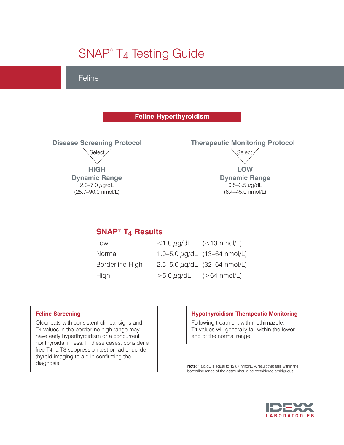# SNAP<sup>®</sup> T<sub>4</sub> Testing Guide

## Feline



### **SNAP**® **T4 Results**

| Low             | $<$ 1.0 $\mu$ g/dL (<13 nmol/L)          |                                     |
|-----------------|------------------------------------------|-------------------------------------|
| Normal          |                                          | 1.0-5.0 $\mu$ g/dL (13-64 nmol/L)   |
| Borderline High |                                          | $2.5 - 5.0 \mu g/dL$ (32-64 nmol/L) |
| High            | $>5.0 \mu g/dL$ ( $>64 \text{ nmol/L}$ ) |                                     |

#### **Feline Screening**

Older cats with consistent clinical signs and T4 values in the borderline high range may have early hyperthyroidism or a concurrent nonthyroidal illness. In these cases, consider a free T4, a T3 suppression test or radionuclide thyroid imaging to aid in confirming the diagnosis.

#### **Hypothyroidism Therapeutic Monitoring**

Following treatment with methimazole, T4 values will generally fall within the lower end of the normal range.

Note: 1  $\mu$ g/dL is equal to 12.87 nmol/L. A result that falls within the borderline range of the assay should be considered ambiguous.